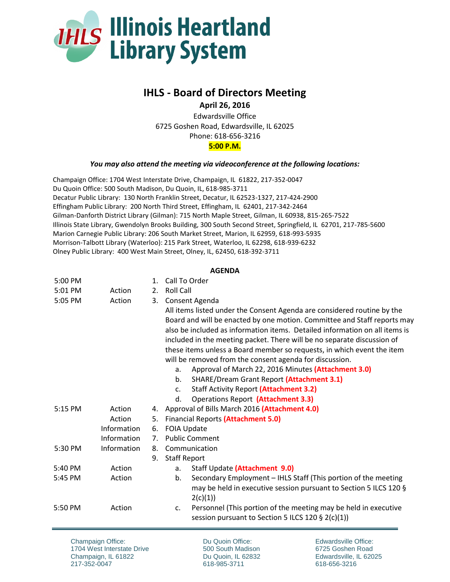

## **IHLS - Board of Directors Meeting**

**April 26, 2016**

Edwardsville Office 6725 Goshen Road, Edwardsville, IL 62025 Phone: 618-656-3216 **5:00 P.M.**

## *You may also attend the meeting via videoconference at the following locations:*

Champaign Office: 1704 West Interstate Drive, Champaign, IL 61822, 217-352-0047 Du Quoin Office: 500 South Madison, Du Quoin, IL, 618-985-3711 Decatur Public Library: 130 North Franklin Street, Decatur, IL 62523-1327, 217-424-2900 Effingham Public Library: 200 North Third Street, Effingham, IL 62401, 217-342-2464 Gilman-Danforth District Library (Gilman): 715 North Maple Street, Gilman, IL 60938, 815-265-7522 Illinois State Library, Gwendolyn Brooks Building, 300 South Second Street, Springfield, IL 62701, 217-785-5600 Marion Carnegie Public Library: 206 South Market Street, Marion, IL 62959, 618-993-5935 Morrison-Talbott Library (Waterloo): 215 Park Street, Waterloo, IL 62298, 618-939-6232 Olney Public Library: 400 West Main Street, Olney, IL, 62450, 618-392-3711

## **AGENDA**

| 5:00 PM   |             | 1.          | Call To Order                                                                                                                             |
|-----------|-------------|-------------|-------------------------------------------------------------------------------------------------------------------------------------------|
| 5:01 PM   | Action      | 2.          | <b>Roll Call</b>                                                                                                                          |
| 5:05 PM   | Action      |             | 3. Consent Agenda                                                                                                                         |
|           |             |             | All items listed under the Consent Agenda are considered routine by the                                                                   |
|           |             |             | Board and will be enacted by one motion. Committee and Staff reports may                                                                  |
|           |             |             | also be included as information items. Detailed information on all items is                                                               |
|           |             |             | included in the meeting packet. There will be no separate discussion of                                                                   |
|           |             |             | these items unless a Board member so requests, in which event the item                                                                    |
|           |             |             | will be removed from the consent agenda for discussion.                                                                                   |
|           |             |             | Approval of March 22, 2016 Minutes (Attachment 3.0)<br>a.                                                                                 |
|           |             |             | <b>SHARE/Dream Grant Report (Attachment 3.1)</b><br>b <sub>1</sub>                                                                        |
|           |             |             | <b>Staff Activity Report (Attachment 3.2)</b><br>$C_{\star}$                                                                              |
|           |             |             | <b>Operations Report (Attachment 3.3)</b><br>d.                                                                                           |
| 5:15 PM   | Action      |             | 4. Approval of Bills March 2016 (Attachment 4.0)                                                                                          |
|           | Action      | 5.          | <b>Financial Reports (Attachment 5.0)</b>                                                                                                 |
|           | Information | 6.          | <b>FOIA Update</b>                                                                                                                        |
|           | Information | $7_{\cdot}$ | <b>Public Comment</b>                                                                                                                     |
| 5:30 PM   | Information | 8.          | Communication                                                                                                                             |
|           |             | 9.          | <b>Staff Report</b>                                                                                                                       |
| $5:40$ PM | Action      |             | Staff Update (Attachment 9.0)<br>а.                                                                                                       |
| 5:45 PM   | Action      |             | Secondary Employment - IHLS Staff (This portion of the meeting<br>b.                                                                      |
|           |             |             | may be held in executive session pursuant to Section 5 ILCS 120 §                                                                         |
|           |             |             | 2(c)(1))                                                                                                                                  |
| 5:50 PM   | Action      |             | Personnel (This portion of the meeting may be held in executive<br>C <sub>1</sub><br>session pursuant to Section 5 ILCS 120 $\S$ 2(c)(1)) |

Champaign Office: 1704 West Interstate Drive Champaign, IL 61822 217-352-0047

Du Quoin Office: 500 South Madison Du Quoin, IL 62832 618-985-3711

Edwardsville Office: 6725 Goshen Road Edwardsville, IL 62025 618-656-3216